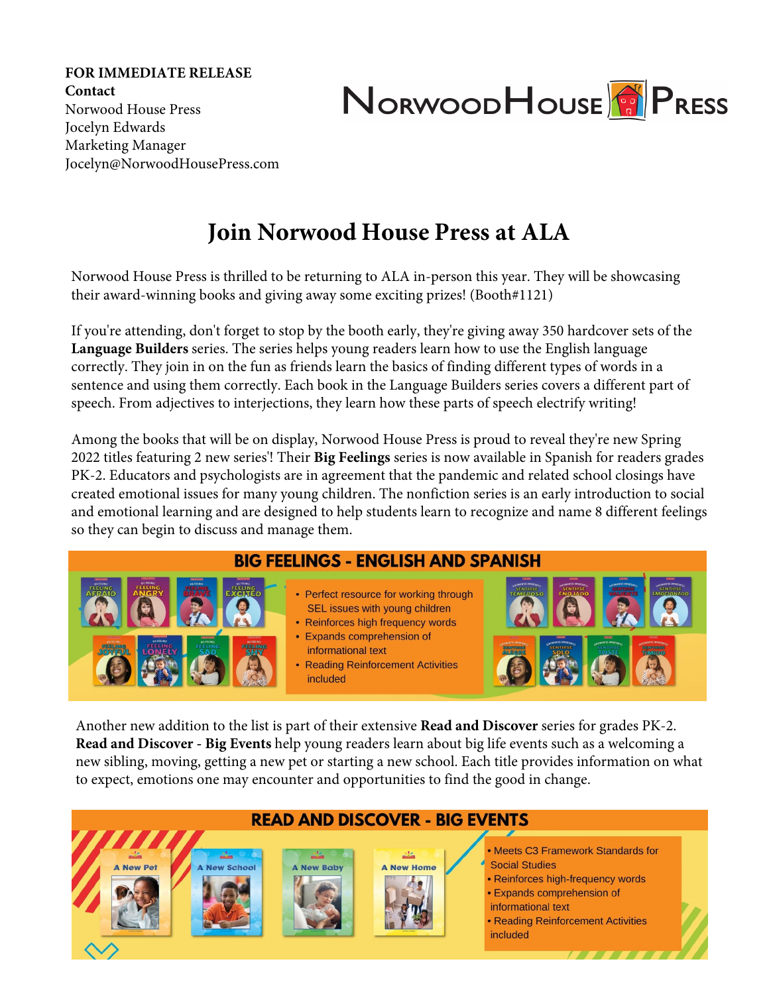**FOR IMMEDIATE RELEASE Contact**  Norwood House Press Jocelyn Edwards Marketing Manager Jocelyn@NorwoodHousePress.com



## **Join Norwood House Press at ALA**

Norwood House Press is thrilled to be returning to ALA in-person this year. They will be showcasing their award-winning books and giving away some exciting prizes! (Booth#1121)

If you're attending, don't forget to stop by the booth early, they're giving away 350 hardcover sets of the 8 book **Language Builders** series. The series helps young readers learn how to use the English language correctly. They join in on the fun as friends learn the basics of finding different types of words in a sentence and using them correctly. Each book in the **Language Builders** series covers a different part of speech. From adjectives to interjections, they learn how these parts of speech electrify speaking and writing.

ong the books that wi be on disp a orwood o se ress is pro d to re ea their new Spring tit es feat ring new series! The Big ee ings series is now a ai ab e in Spanish for readers grades  $K$ . Ed ators and ps ho ogists are in agree ent that the pande i and reated s hoo osings have reated e otiona iss es for an o ng hi dren. The nonfi tion series is an ear introd tion to so ia and e otiona earning and is designed to he p st dents earn to re ogni e and na e 8 different fee ings so the an begin to dis ss and anage the.